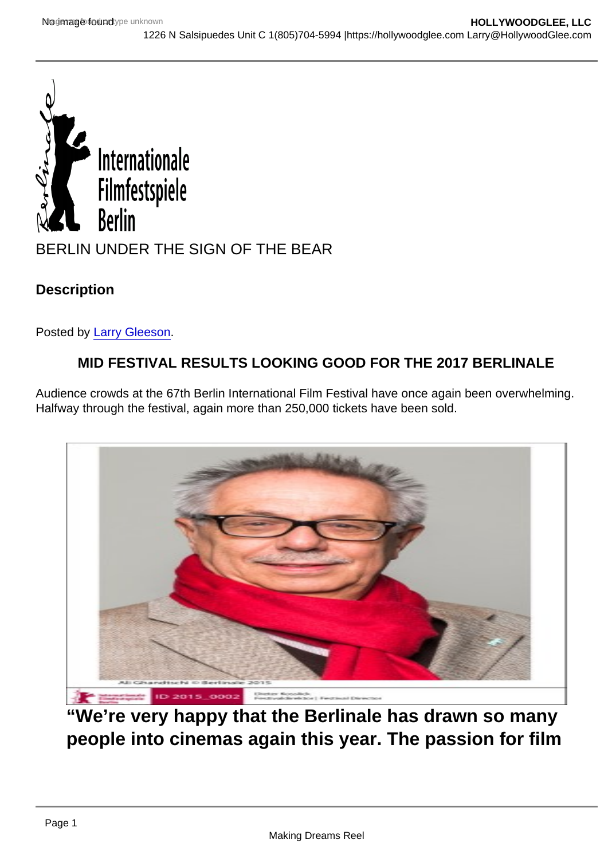## BERLIN UNDER THE SIGN OF THE BEAR

**Description** 

Posted by [Larry Gleeson](http://sbccfilmreviews.org/?s=Larry+Gleeson).

### MID FESTIVAL RESULTS LOOKING GOOD FOR THE 2017 BERLINALE

Audience crowds at the 67th Berlin International Film Festival have once again been overwhelming. Halfway through the festival, again more than 250,000 tickets have been sold.

"We're very happy that the Berlinale has drawn so many people into cinemas again this year. The passion for film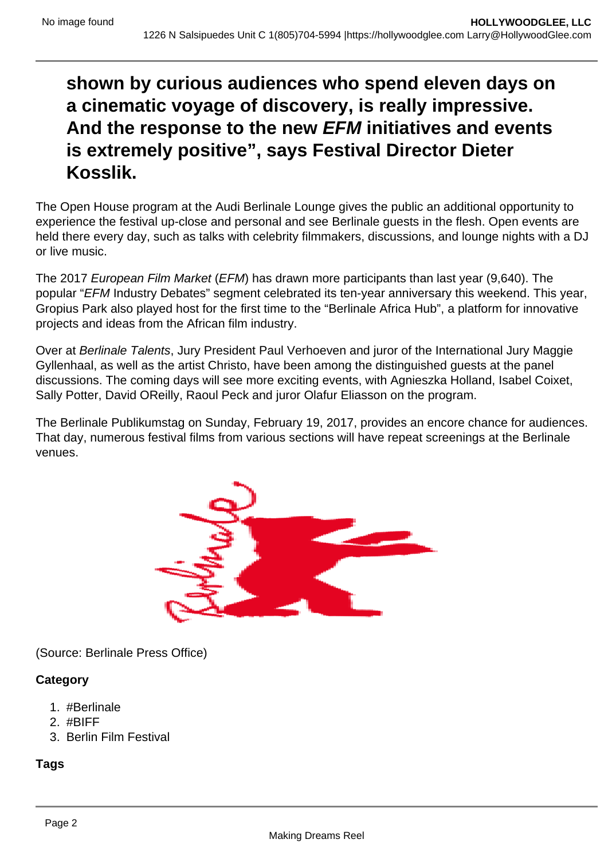# **shown by curious audiences who spend eleven days on a cinematic voyage of discovery, is really impressive. And the response to the new EFM initiatives and events is extremely positive", says Festival Director Dieter Kosslik.**

The Open House program at the Audi Berlinale Lounge gives the public an additional opportunity to experience the festival up-close and personal and see Berlinale guests in the flesh. Open events are held there every day, such as talks with celebrity filmmakers, discussions, and lounge nights with a DJ or live music.

The 2017 European Film Market (EFM) has drawn more participants than last year (9,640). The popular "EFM Industry Debates" segment celebrated its ten-year anniversary this weekend. This year, Gropius Park also played host for the first time to the "Berlinale Africa Hub", a platform for innovative projects and ideas from the African film industry.

Over at Berlinale Talents, Jury President Paul Verhoeven and juror of the International Jury Maggie Gyllenhaal, as well as the artist Christo, have been among the distinguished guests at the panel discussions. The coming days will see more exciting events, with Agnieszka Holland, Isabel Coixet, Sally Potter, David OReilly, Raoul Peck and juror Olafur Eliasson on the program.

The Berlinale Publikumstag on Sunday, February 19, 2017, provides an encore chance for audiences. That day, numerous festival films from various sections will have repeat screenings at the Berlinale venues.



(Source: Berlinale Press Office)

#### **Category**

- 1. #Berlinale
- 2. #BIFF
- 3. Berlin Film Festival

#### **Tags**